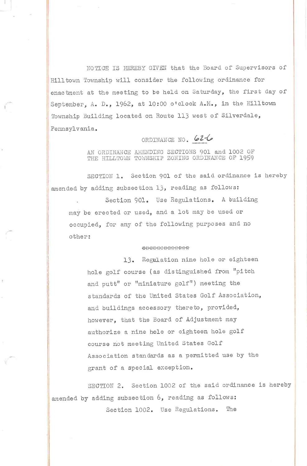NOTICE IS HEREBY GIVEN that the Board of Supervisors of Hill town Township will consider the following ordinance for enactment at the meeting to be held on Saturday, the first day of September, A. D., 1962, at 10:00 o'clock A.M., in the Hilltown Township Building located on Route 113 west of Silverdale, Pennsylvania.

## ORDINANGE NO. 62-6

AN ORDINANCE AMENDING SECTIONS 901 and 1002 OF THE HILLTOWN TOWNSHIP ZONING ORDINANCE OF 1959

SECTION 1. Section 901 of the said ordinance is hereby amended by adding subsection 13, reading as follows:

Section 901. Use Regulations. A building may be erected or used, and a lot may be used or occupied, for any of the following purposes and no other:

## 394994991-000-01-01-01-01-01

13. Regulation nine hole or eighteen hole golf course (as distinguished from "pitch and putt" or "miniature golf") meeting the standards of the United States Golf Association, and buildings accessory thereto, provided, however, that the Board of Adjustment may authorize a nine hole or eighteen hole golf course not meeting United States Golf Association standards as a permitted use by the grant of a special exception.

SECTION 2. Section 1002 of the said ordinance is hereby amended by adding subsection 6, reading as follows: Section 1002. Use Regulations. The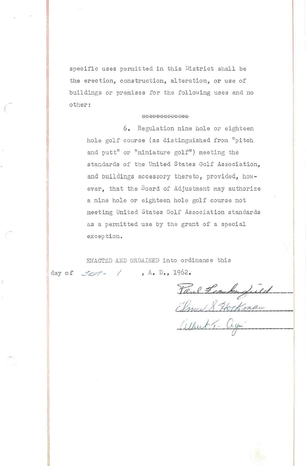specific uses permitted in this District shall be the erection, construction, alteration, or use of buildings or premises for the following uses and no other:

## \*\*\*\*\*\*\*\*\*\*\*\*\*

6. Regulation nine hole or eighteen hole golf course (as distinguished from "pitch and putt" or "miniature golf") meeting the standards of the United States Golf Association, and buildings accessory thereto, provided, however, that the Board of Adjustment may authorize a nine hole or eighteen hole golf course not meeting United States Golf Association standards as a permitted use by the grant of a special exception.

ENACTED AND ORDAINED into ordinance this  $S_{EPT}$  / , A. D., 1962. day of

Paul Leauberfield albert T. again